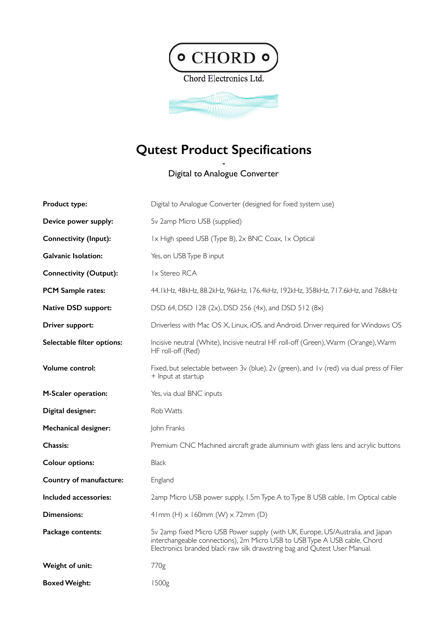

## **Qutest Product Specifications**

- Digital to Analogue Converter

| Product type:                 | Digital to Analogue Converter (designed for fixed system use)                                                                                                                                                                            |
|-------------------------------|------------------------------------------------------------------------------------------------------------------------------------------------------------------------------------------------------------------------------------------|
| Device power supply:          | 5v 2amp Micro USB (supplied)                                                                                                                                                                                                             |
| <b>Connectivity (Input):</b>  | Ix High speed USB (Type B), 2x BNC Coax, Ix Optical                                                                                                                                                                                      |
| <b>Galvanic Isolation:</b>    | Yes, on USB Type B input                                                                                                                                                                                                                 |
| <b>Connectivity (Output):</b> | Ix Stereo RCA                                                                                                                                                                                                                            |
| <b>PCM Sample rates:</b>      | 44. IkHz, 48kHz, 88. 2kHz, 96kHz, 176. 4kHz, 192kHz, 358kHz, 717. 6kHz, and 768kHz                                                                                                                                                       |
| Native DSD support:           | DSD 64, DSD 128 (2x), DSD 256 (4x), and DSD 512 (8x)                                                                                                                                                                                     |
| Driver support:               | Driverless with Mac OS X, Linux, iOS, and Android. Driver required for Windows OS                                                                                                                                                        |
| Selectable filter options:    | Incisive neutral (White), Incisive neutral HF roll-off (Green), Warm (Orange), Warm<br>HF roll-off (Red)                                                                                                                                 |
| <b>Volume control:</b>        | Fixed, but selectable between 3v (blue), 2v (green), and Iv (red) via dual press of Filer<br>+ Input at startup                                                                                                                          |
| <b>M-Scaler operation:</b>    | Yes, via dual BNC inputs                                                                                                                                                                                                                 |
| Digital designer:             | Rob Watts                                                                                                                                                                                                                                |
| <b>Mechanical designer:</b>   | John Franks                                                                                                                                                                                                                              |
| <b>Chassis:</b>               | Premium CNC Machined aircraft grade aluminium with glass lens and acrylic buttons                                                                                                                                                        |
| <b>Colour options:</b>        | <b>Black</b>                                                                                                                                                                                                                             |
| Country of manufacture:       | England                                                                                                                                                                                                                                  |
| Included accessories:         | 2amp Micro USB power supply, I.5m Type A to Type B USB cable, Im Optical cable                                                                                                                                                           |
| <b>Dimensions:</b>            | $41mm$ (H) $\times$ 160mm (W) $\times$ 72mm (D)                                                                                                                                                                                          |
| Package contents:             | 5v 2amp fixed Micro USB Power supply (with UK, Europe, US/Australia, and Japan<br>interchangeable connections), 2m Micro USB to USB Type A USB cable, Chord<br>Electronics branded black raw silk drawstring bag and Qutest User Manual. |
| Weight of unit:               | 770g                                                                                                                                                                                                                                     |
| <b>Boxed Weight:</b>          | 1500g                                                                                                                                                                                                                                    |